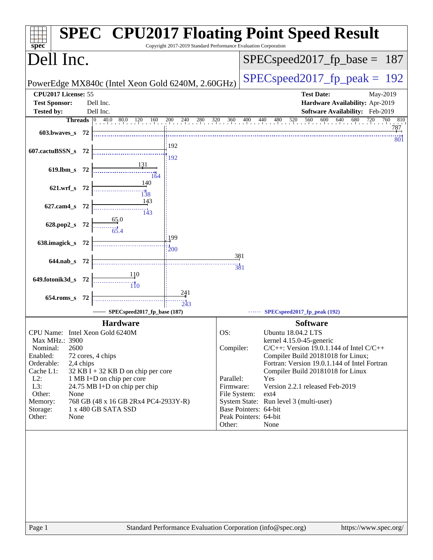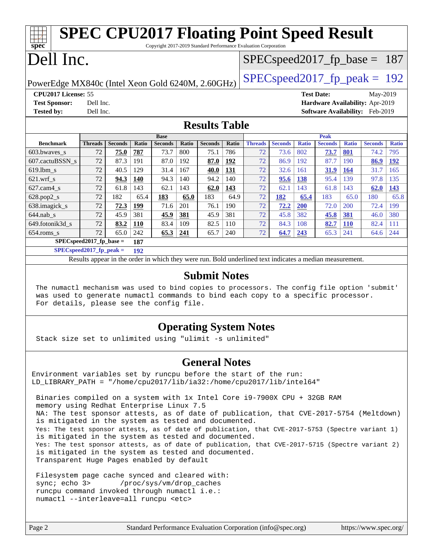| <b>SPEC CPU2017 Floating Point Speed Result</b>                                      |                |                |                   |                |            |                |            |                                 |                |              |                                 |                   |                |              |
|--------------------------------------------------------------------------------------|----------------|----------------|-------------------|----------------|------------|----------------|------------|---------------------------------|----------------|--------------|---------------------------------|-------------------|----------------|--------------|
| spec<br>Copyright 2017-2019 Standard Performance Evaluation Corporation              |                |                |                   |                |            |                |            |                                 |                |              |                                 |                   |                |              |
| Dell Inc.                                                                            |                |                |                   |                |            |                |            | $SPEC speed2017_fp\_base = 187$ |                |              |                                 |                   |                |              |
| $SPEC speed2017_fp\_peak = 192$<br>PowerEdge MX840c (Intel Xeon Gold 6240M, 2.60GHz) |                |                |                   |                |            |                |            |                                 |                |              |                                 |                   |                |              |
| CPU2017 License: 55<br><b>Test Date:</b><br>May-2019                                 |                |                |                   |                |            |                |            |                                 |                |              |                                 |                   |                |              |
| <b>Test Sponsor:</b>                                                                 | Dell Inc.      |                |                   |                |            |                |            |                                 |                |              | Hardware Availability: Apr-2019 |                   |                |              |
| <b>Tested by:</b>                                                                    | Dell Inc.      |                |                   |                |            |                |            |                                 |                |              | <b>Software Availability:</b>   |                   | Feb-2019       |              |
| <b>Results Table</b>                                                                 |                |                |                   |                |            |                |            |                                 |                |              |                                 |                   |                |              |
| <b>Base</b><br><b>Peak</b>                                                           |                |                |                   |                |            |                |            |                                 |                |              |                                 |                   |                |              |
| <b>Benchmark</b>                                                                     | <b>Threads</b> | <b>Seconds</b> | Ratio             | <b>Seconds</b> | Ratio      | <b>Seconds</b> | Ratio      | <b>Threads</b>                  | <b>Seconds</b> | <b>Ratio</b> | <b>Seconds</b>                  | <b>Ratio</b>      | <b>Seconds</b> | <b>Ratio</b> |
|                                                                                      |                |                |                   |                |            |                |            |                                 |                |              |                                 |                   |                |              |
| 603.bwayes s                                                                         | 72             | 75.0           | 787               | 73.7           | 800        | 75.1           | 786        | 72                              | 73.6           | 802          | 73.7                            | 801               | 74.2           | 795          |
| 607.cactuBSSN s                                                                      | 72             | 87.3           | 191               | 87.0           | 192        | 87.0           | <u>192</u> | 72                              | 86.9           | 192          | 87.7                            | 190               | 86.9           | <u>192</u>   |
| $619.$ lbm s                                                                         | 72             | 40.5           | 129               | 31.4           | 167        | 40.0           | 131        | 72                              | 32.6           | 161          | 31.9                            | 164               | 31.7           | 165          |
| $621.wrf$ s                                                                          | 72             | 94.3           | 140               | 94.3           | 140        | 94.2           | 140        | 72                              | 95.6           | 138          | 95.4                            | 139               | 97.8           | 135          |
| 627.cam4_s                                                                           | 72             | 61.8           | 143               | 62.1           | 143        | 62.0           | 143        | 72                              | 62.1           | 143          | 61.8                            | 143               | 62.0           | 143          |
| $628.pop2_s$                                                                         | 72             | 182            | 65.4              | 183            | 65.0       | 183            | 64.9       | 72                              | 182            | 65.4         | 183                             | 65.0              | 180            | 65.8         |
| 638.imagick_s                                                                        | 72             | 72.3           | 199               | 71.6           | 201        | 76.1           | 190        | 72                              | 72.2           | <b>200</b>   | 72.0                            | 200               | 72.4           | 199          |
| $644$ .nab s                                                                         | 72             | 45.9           | 381               | 45.9           | 381        | 45.9           | 381        | 72                              | 45.8           | 382          | 45.8                            | 381               | 46.0           | 380          |
| 649.fotonik3d_s<br>$654$ .roms s                                                     | 72<br>72       | 83.2<br>65.0   | <b>110</b><br>242 | 83.4<br>65.3   | 109<br>241 | 82.5<br>65.7   | 110<br>240 | 72<br>72                        | 84.3<br>64.7   | 108<br>243   | 82.7<br>65.3                    | <b>110</b><br>241 | 82.4<br>64.6   | 111<br>244   |

**[SPECspeed2017\\_fp\\_peak =](http://www.spec.org/auto/cpu2017/Docs/result-fields.html#SPECspeed2017fppeak) 192**

Results appear in the [order in which they were run.](http://www.spec.org/auto/cpu2017/Docs/result-fields.html#RunOrder) Bold underlined text [indicates a median measurement](http://www.spec.org/auto/cpu2017/Docs/result-fields.html#Median).

#### **[Submit Notes](http://www.spec.org/auto/cpu2017/Docs/result-fields.html#SubmitNotes)**

 The numactl mechanism was used to bind copies to processors. The config file option 'submit' was used to generate numactl commands to bind each copy to a specific processor. For details, please see the config file.

#### **[Operating System Notes](http://www.spec.org/auto/cpu2017/Docs/result-fields.html#OperatingSystemNotes)**

Stack size set to unlimited using "ulimit -s unlimited"

#### **[General Notes](http://www.spec.org/auto/cpu2017/Docs/result-fields.html#GeneralNotes)**

Environment variables set by runcpu before the start of the run: LD LIBRARY PATH = "/home/cpu2017/lib/ia32:/home/cpu2017/lib/intel64"

 Binaries compiled on a system with 1x Intel Core i9-7900X CPU + 32GB RAM memory using Redhat Enterprise Linux 7.5 NA: The test sponsor attests, as of date of publication, that CVE-2017-5754 (Meltdown) is mitigated in the system as tested and documented. Yes: The test sponsor attests, as of date of publication, that CVE-2017-5753 (Spectre variant 1) is mitigated in the system as tested and documented. Yes: The test sponsor attests, as of date of publication, that CVE-2017-5715 (Spectre variant 2) is mitigated in the system as tested and documented. Transparent Huge Pages enabled by default

 Filesystem page cache synced and cleared with: sync; echo 3> /proc/sys/vm/drop\_caches runcpu command invoked through numactl i.e.: numactl --interleave=all runcpu <etc>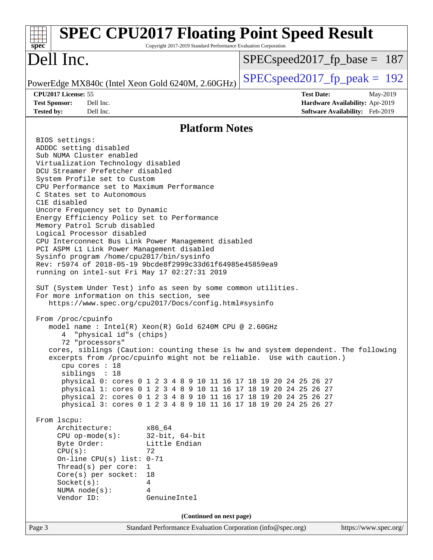| <b>SPEC CPU2017 Floating Point Speed Result</b><br>Copyright 2017-2019 Standard Performance Evaluation Corporation<br>$spec^*$                                                                                                                                                                                                                                                                                                                                                                                                                                                                                                                                                                                                                                                                                                                                                                                                                                                                                                                                                                                                                                                                                                                                                                                                                                                                                                                                                                                                                                                                                                                                                                                                                                                                              |                                                                                                     |  |  |  |  |
|-------------------------------------------------------------------------------------------------------------------------------------------------------------------------------------------------------------------------------------------------------------------------------------------------------------------------------------------------------------------------------------------------------------------------------------------------------------------------------------------------------------------------------------------------------------------------------------------------------------------------------------------------------------------------------------------------------------------------------------------------------------------------------------------------------------------------------------------------------------------------------------------------------------------------------------------------------------------------------------------------------------------------------------------------------------------------------------------------------------------------------------------------------------------------------------------------------------------------------------------------------------------------------------------------------------------------------------------------------------------------------------------------------------------------------------------------------------------------------------------------------------------------------------------------------------------------------------------------------------------------------------------------------------------------------------------------------------------------------------------------------------------------------------------------------------|-----------------------------------------------------------------------------------------------------|--|--|--|--|
| Dell Inc.                                                                                                                                                                                                                                                                                                                                                                                                                                                                                                                                                                                                                                                                                                                                                                                                                                                                                                                                                                                                                                                                                                                                                                                                                                                                                                                                                                                                                                                                                                                                                                                                                                                                                                                                                                                                   | $SPEC speed2017_f p\_base = 187$                                                                    |  |  |  |  |
| PowerEdge MX840c (Intel Xeon Gold 6240M, 2.60GHz)                                                                                                                                                                                                                                                                                                                                                                                                                                                                                                                                                                                                                                                                                                                                                                                                                                                                                                                                                                                                                                                                                                                                                                                                                                                                                                                                                                                                                                                                                                                                                                                                                                                                                                                                                           | $SPEC speed2017_fp\_peak = 192$                                                                     |  |  |  |  |
| CPU2017 License: 55<br><b>Test Sponsor:</b><br>Dell Inc.<br>Dell Inc.<br><b>Tested by:</b>                                                                                                                                                                                                                                                                                                                                                                                                                                                                                                                                                                                                                                                                                                                                                                                                                                                                                                                                                                                                                                                                                                                                                                                                                                                                                                                                                                                                                                                                                                                                                                                                                                                                                                                  | <b>Test Date:</b><br>May-2019<br>Hardware Availability: Apr-2019<br>Software Availability: Feb-2019 |  |  |  |  |
| <b>Platform Notes</b>                                                                                                                                                                                                                                                                                                                                                                                                                                                                                                                                                                                                                                                                                                                                                                                                                                                                                                                                                                                                                                                                                                                                                                                                                                                                                                                                                                                                                                                                                                                                                                                                                                                                                                                                                                                       |                                                                                                     |  |  |  |  |
| BIOS settings:<br>ADDDC setting disabled<br>Sub NUMA Cluster enabled<br>Virtualization Technology disabled<br>DCU Streamer Prefetcher disabled<br>System Profile set to Custom<br>CPU Performance set to Maximum Performance<br>C States set to Autonomous<br>C1E disabled<br>Uncore Frequency set to Dynamic<br>Energy Efficiency Policy set to Performance<br>Memory Patrol Scrub disabled<br>Logical Processor disabled<br>CPU Interconnect Bus Link Power Management disabled<br>PCI ASPM L1 Link Power Management disabled<br>Sysinfo program /home/cpu2017/bin/sysinfo<br>Rev: r5974 of 2018-05-19 9bcde8f2999c33d61f64985e45859ea9<br>running on intel-sut Fri May 17 02:27:31 2019<br>SUT (System Under Test) info as seen by some common utilities.<br>For more information on this section, see<br>https://www.spec.org/cpu2017/Docs/config.html#sysinfo<br>From /proc/cpuinfo<br>model name: $Intel(R)$ Xeon $(R)$ Gold 6240M CPU @ 2.60GHz<br>"physical id"s (chips)<br>4<br>72 "processors"<br>cores, siblings (Caution: counting these is hw and system dependent. The following<br>excerpts from /proc/cpuinfo might not be reliable. Use with caution.)<br>cpu cores : 18<br>siblings : 18<br>physical 0: cores 0 1 2 3 4 8 9 10 11 16 17 18 19 20 24 25 26 27<br>physical 1: cores 0 1 2 3 4 8 9 10 11 16 17 18 19 20 24 25 26 27<br>physical 2: cores 0 1 2 3 4 8 9 10 11 16 17 18 19 20 24 25 26 27<br>physical 3: cores 0 1 2 3 4 8 9 10 11 16 17 18 19 20 24 25 26 27<br>From 1scpu:<br>Architecture:<br>x86 64<br>$32$ -bit, $64$ -bit<br>$CPU$ op-mode( $s$ ):<br>Byte Order:<br>Little Endian<br>CPU(s):<br>72<br>On-line CPU(s) list: $0-71$<br>Thread( $s$ ) per core:<br>1<br>Core(s) per socket:<br>18<br>Socket(s):<br>4<br>NUMA $node(s):$<br>4<br>Vendor ID:<br>GenuineIntel |                                                                                                     |  |  |  |  |
| (Continued on next page)                                                                                                                                                                                                                                                                                                                                                                                                                                                                                                                                                                                                                                                                                                                                                                                                                                                                                                                                                                                                                                                                                                                                                                                                                                                                                                                                                                                                                                                                                                                                                                                                                                                                                                                                                                                    |                                                                                                     |  |  |  |  |
| Page 3<br>Standard Performance Evaluation Corporation (info@spec.org)                                                                                                                                                                                                                                                                                                                                                                                                                                                                                                                                                                                                                                                                                                                                                                                                                                                                                                                                                                                                                                                                                                                                                                                                                                                                                                                                                                                                                                                                                                                                                                                                                                                                                                                                       | https://www.spec.org/                                                                               |  |  |  |  |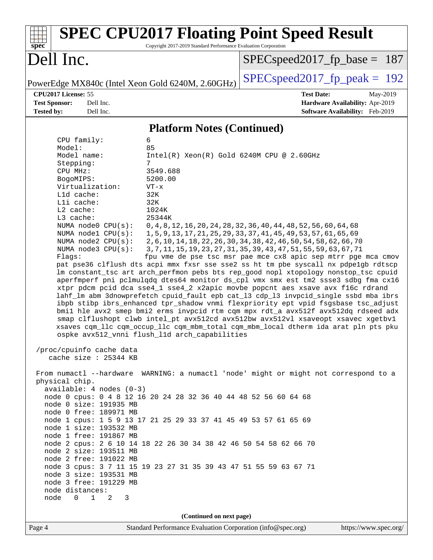| $spec^*$                                                                                                                                                                                                                                                                                                                                                                                                                                                                                                                                                                                                                                                                                                  | Copyright 2017-2019 Standard Performance Evaluation Corporation                                                                 | <b>SPEC CPU2017 Floating Point Speed Result</b>                                                                                                                                                                                                                                                                                                                                                                                                                                                                                                                                                                                                                                                                                                                                                                                                                                                                                                                                                                                                                                                                                                                   |                                                                                |
|-----------------------------------------------------------------------------------------------------------------------------------------------------------------------------------------------------------------------------------------------------------------------------------------------------------------------------------------------------------------------------------------------------------------------------------------------------------------------------------------------------------------------------------------------------------------------------------------------------------------------------------------------------------------------------------------------------------|---------------------------------------------------------------------------------------------------------------------------------|-------------------------------------------------------------------------------------------------------------------------------------------------------------------------------------------------------------------------------------------------------------------------------------------------------------------------------------------------------------------------------------------------------------------------------------------------------------------------------------------------------------------------------------------------------------------------------------------------------------------------------------------------------------------------------------------------------------------------------------------------------------------------------------------------------------------------------------------------------------------------------------------------------------------------------------------------------------------------------------------------------------------------------------------------------------------------------------------------------------------------------------------------------------------|--------------------------------------------------------------------------------|
| Dell Inc.                                                                                                                                                                                                                                                                                                                                                                                                                                                                                                                                                                                                                                                                                                 |                                                                                                                                 | $SPEC speed2017_fp\_base = 187$                                                                                                                                                                                                                                                                                                                                                                                                                                                                                                                                                                                                                                                                                                                                                                                                                                                                                                                                                                                                                                                                                                                                   |                                                                                |
| PowerEdge MX840c (Intel Xeon Gold 6240M, 2.60GHz)                                                                                                                                                                                                                                                                                                                                                                                                                                                                                                                                                                                                                                                         |                                                                                                                                 | $SPEC speed2017_fp\_peak = 192$                                                                                                                                                                                                                                                                                                                                                                                                                                                                                                                                                                                                                                                                                                                                                                                                                                                                                                                                                                                                                                                                                                                                   |                                                                                |
| CPU2017 License: 55<br><b>Test Sponsor:</b><br>Dell Inc.<br>Tested by:<br>Dell Inc.                                                                                                                                                                                                                                                                                                                                                                                                                                                                                                                                                                                                                       |                                                                                                                                 | <b>Test Date:</b>                                                                                                                                                                                                                                                                                                                                                                                                                                                                                                                                                                                                                                                                                                                                                                                                                                                                                                                                                                                                                                                                                                                                                 | May-2019<br>Hardware Availability: Apr-2019<br>Software Availability: Feb-2019 |
|                                                                                                                                                                                                                                                                                                                                                                                                                                                                                                                                                                                                                                                                                                           |                                                                                                                                 |                                                                                                                                                                                                                                                                                                                                                                                                                                                                                                                                                                                                                                                                                                                                                                                                                                                                                                                                                                                                                                                                                                                                                                   |                                                                                |
|                                                                                                                                                                                                                                                                                                                                                                                                                                                                                                                                                                                                                                                                                                           | <b>Platform Notes (Continued)</b>                                                                                               |                                                                                                                                                                                                                                                                                                                                                                                                                                                                                                                                                                                                                                                                                                                                                                                                                                                                                                                                                                                                                                                                                                                                                                   |                                                                                |
| CPU family:<br>Model:<br>Model name:<br>Stepping:<br>CPU MHz:<br>BogoMIPS:<br>Virtualization:<br>Lld cache:<br>Lli cache:<br>L2 cache:<br>L3 cache:<br>NUMA node0 CPU(s):<br>NUMA node1 CPU(s):<br>NUMA $node2$ $CPU(s)$ :<br>NUMA $node3$ $CPU(s)$ :<br>Flaqs:<br>ospke avx512_vnni flush_11d arch_capabilities                                                                                                                                                                                                                                                                                                                                                                                          | 6<br>85<br>$Intel(R) Xeon(R) Gold 6240M CPU @ 2.60GHz$<br>7<br>3549.688<br>5200.00<br>$VT - x$<br>32K<br>32K<br>1024K<br>25344K | 0, 4, 8, 12, 16, 20, 24, 28, 32, 36, 40, 44, 48, 52, 56, 60, 64, 68<br>1, 5, 9, 13, 17, 21, 25, 29, 33, 37, 41, 45, 49, 53, 57, 61, 65, 69<br>2, 6, 10, 14, 18, 22, 26, 30, 34, 38, 42, 46, 50, 54, 58, 62, 66, 70<br>3, 7, 11, 15, 19, 23, 27, 31, 35, 39, 43, 47, 51, 55, 59, 63, 67, 71<br>fpu vme de pse tsc msr pae mce cx8 apic sep mtrr pge mca cmov<br>pat pse36 clflush dts acpi mmx fxsr sse sse2 ss ht tm pbe syscall nx pdpelgb rdtscp<br>lm constant_tsc art arch_perfmon pebs bts rep_good nopl xtopology nonstop_tsc cpuid<br>aperfmperf pni pclmulqdq dtes64 monitor ds_cpl vmx smx est tm2 ssse3 sdbg fma cx16<br>xtpr pdcm pcid dca sse4_1 sse4_2 x2apic movbe popcnt aes xsave avx f16c rdrand<br>lahf_lm abm 3dnowprefetch cpuid_fault epb cat_13 cdp_13 invpcid_single ssbd mba ibrs<br>ibpb stibp ibrs_enhanced tpr_shadow vnmi flexpriority ept vpid fsgsbase tsc_adjust<br>bmil hle avx2 smep bmi2 erms invpcid rtm cqm mpx rdt_a avx512f avx512dq rdseed adx<br>smap clflushopt clwb intel_pt avx512cd avx512bw avx512vl xsaveopt xsavec xgetbvl<br>xsaves cqm_llc cqm_occup_llc cqm_mbm_total cqm_mbm_local dtherm ida arat pln pts pku |                                                                                |
| /proc/cpuinfo cache data<br>cache size : 25344 KB                                                                                                                                                                                                                                                                                                                                                                                                                                                                                                                                                                                                                                                         |                                                                                                                                 |                                                                                                                                                                                                                                                                                                                                                                                                                                                                                                                                                                                                                                                                                                                                                                                                                                                                                                                                                                                                                                                                                                                                                                   |                                                                                |
| From numactl --hardware WARNING: a numactl 'node' might or might not correspond to a<br>physical chip.<br>$available: 4 nodes (0-3)$<br>node 0 cpus: 0 4 8 12 16 20 24 28 32 36 40 44 48 52 56 60 64 68<br>node 0 size: 191935 MB<br>node 0 free: 189971 MB<br>node 1 cpus: 1 5 9 13 17 21 25 29 33 37 41 45 49 53 57 61 65 69<br>node 1 size: 193532 MB<br>node 1 free: 191867 MB<br>node 2 cpus: 2 6 10 14 18 22 26 30 34 38 42 46 50 54 58 62 66 70<br>node 2 size: 193511 MB<br>node 2 free: 191022 MB<br>node 3 cpus: 3 7 11 15 19 23 27 31 35 39 43 47 51 55 59 63 67 71<br>node 3 size: 193531 MB<br>node 3 free: 191229 MB<br>node distances:<br>node<br>$\overline{0}$<br>$\mathbf{1}$<br>2<br>3 |                                                                                                                                 |                                                                                                                                                                                                                                                                                                                                                                                                                                                                                                                                                                                                                                                                                                                                                                                                                                                                                                                                                                                                                                                                                                                                                                   |                                                                                |
|                                                                                                                                                                                                                                                                                                                                                                                                                                                                                                                                                                                                                                                                                                           | (Continued on next page)                                                                                                        |                                                                                                                                                                                                                                                                                                                                                                                                                                                                                                                                                                                                                                                                                                                                                                                                                                                                                                                                                                                                                                                                                                                                                                   |                                                                                |
| Page 4                                                                                                                                                                                                                                                                                                                                                                                                                                                                                                                                                                                                                                                                                                    | Standard Performance Evaluation Corporation (info@spec.org)                                                                     |                                                                                                                                                                                                                                                                                                                                                                                                                                                                                                                                                                                                                                                                                                                                                                                                                                                                                                                                                                                                                                                                                                                                                                   | https://www.spec.org/                                                          |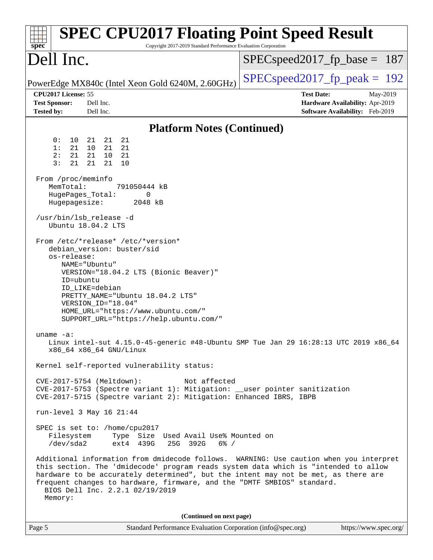| <b>SPEC CPU2017 Floating Point Speed Result</b><br>Copyright 2017-2019 Standard Performance Evaluation Corporation<br>$spec^*$                                                                                                                                                                                                                                                                                                                                                                                                                                                                                                                                                                                                                                                                                                                                                                                                                                                                                                                                                                                                                                                                                                                                                                                                                                                                                                                                                                                                                               |                                                                                                     |
|--------------------------------------------------------------------------------------------------------------------------------------------------------------------------------------------------------------------------------------------------------------------------------------------------------------------------------------------------------------------------------------------------------------------------------------------------------------------------------------------------------------------------------------------------------------------------------------------------------------------------------------------------------------------------------------------------------------------------------------------------------------------------------------------------------------------------------------------------------------------------------------------------------------------------------------------------------------------------------------------------------------------------------------------------------------------------------------------------------------------------------------------------------------------------------------------------------------------------------------------------------------------------------------------------------------------------------------------------------------------------------------------------------------------------------------------------------------------------------------------------------------------------------------------------------------|-----------------------------------------------------------------------------------------------------|
| Dell Inc.                                                                                                                                                                                                                                                                                                                                                                                                                                                                                                                                                                                                                                                                                                                                                                                                                                                                                                                                                                                                                                                                                                                                                                                                                                                                                                                                                                                                                                                                                                                                                    | $SPEC speed2017_fp\_base = 187$                                                                     |
| PowerEdge MX840c (Intel Xeon Gold 6240M, 2.60GHz)                                                                                                                                                                                                                                                                                                                                                                                                                                                                                                                                                                                                                                                                                                                                                                                                                                                                                                                                                                                                                                                                                                                                                                                                                                                                                                                                                                                                                                                                                                            | $SPEC speed2017_fp\_peak = 192$                                                                     |
| CPU2017 License: 55<br><b>Test Sponsor:</b><br>Dell Inc.<br><b>Tested by:</b><br>Dell Inc.                                                                                                                                                                                                                                                                                                                                                                                                                                                                                                                                                                                                                                                                                                                                                                                                                                                                                                                                                                                                                                                                                                                                                                                                                                                                                                                                                                                                                                                                   | <b>Test Date:</b><br>May-2019<br>Hardware Availability: Apr-2019<br>Software Availability: Feb-2019 |
| <b>Platform Notes (Continued)</b>                                                                                                                                                                                                                                                                                                                                                                                                                                                                                                                                                                                                                                                                                                                                                                                                                                                                                                                                                                                                                                                                                                                                                                                                                                                                                                                                                                                                                                                                                                                            |                                                                                                     |
| 0 :<br>10<br>21<br>21<br>21<br>1:<br>21<br>21<br>10<br>21<br>21<br>2:<br>21<br>10<br>- 21<br>3:<br>21<br>21<br>21<br>10<br>From /proc/meminfo<br>MemTotal:<br>791050444 kB<br>HugePages_Total:<br>0<br>Hugepagesize:<br>2048 kB<br>/usr/bin/lsb_release -d<br>Ubuntu 18.04.2 LTS<br>From /etc/*release* /etc/*version*<br>debian_version: buster/sid<br>os-release:<br>NAME="Ubuntu"<br>VERSION="18.04.2 LTS (Bionic Beaver)"<br>ID=ubuntu<br>ID_LIKE=debian<br>PRETTY_NAME="Ubuntu 18.04.2 LTS"<br>VERSION ID="18.04"<br>HOME_URL="https://www.ubuntu.com/"<br>SUPPORT_URL="https://help.ubuntu.com/"<br>uname $-a$ :<br>Linux intel-sut 4.15.0-45-generic #48-Ubuntu SMP Tue Jan 29 16:28:13 UTC 2019 x86_64<br>x86_64 x86_64 GNU/Linux<br>Kernel self-reported vulnerability status:<br>Not affected<br>CVE-2017-5754 (Meltdown):<br>CVE-2017-5753 (Spectre variant 1): Mitigation: __user pointer sanitization<br>CVE-2017-5715 (Spectre variant 2): Mitigation: Enhanced IBRS, IBPB<br>run-level 3 May 16 21:44<br>SPEC is set to: /home/cpu2017<br>Filesystem<br>Type Size Used Avail Use% Mounted on<br>/dev/sda2<br>ext4 439G<br>25G 392G<br>$6\%$ /<br>Additional information from dmidecode follows. WARNING: Use caution when you interpret<br>this section. The 'dmidecode' program reads system data which is "intended to allow<br>hardware to be accurately determined", but the intent may not be met, as there are<br>frequent changes to hardware, firmware, and the "DMTF SMBIOS" standard.<br>BIOS Dell Inc. 2.2.1 02/19/2019<br>Memory: |                                                                                                     |
| (Continued on next page)                                                                                                                                                                                                                                                                                                                                                                                                                                                                                                                                                                                                                                                                                                                                                                                                                                                                                                                                                                                                                                                                                                                                                                                                                                                                                                                                                                                                                                                                                                                                     |                                                                                                     |
| Page 5<br>Standard Performance Evaluation Corporation (info@spec.org)                                                                                                                                                                                                                                                                                                                                                                                                                                                                                                                                                                                                                                                                                                                                                                                                                                                                                                                                                                                                                                                                                                                                                                                                                                                                                                                                                                                                                                                                                        | https://www.spec.org/                                                                               |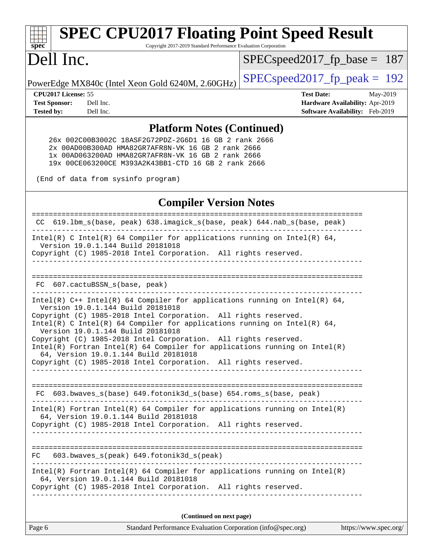# **[spec](http://www.spec.org/)**

# **[SPEC CPU2017 Floating Point Speed Result](http://www.spec.org/auto/cpu2017/Docs/result-fields.html#SPECCPU2017FloatingPointSpeedResult)**

Copyright 2017-2019 Standard Performance Evaluation Corporation

## Dell Inc.

[SPECspeed2017\\_fp\\_base =](http://www.spec.org/auto/cpu2017/Docs/result-fields.html#SPECspeed2017fpbase) 187

PowerEdge MX840c (Intel Xeon Gold 6240M, 2.60GHz)  $\left|$  [SPECspeed2017\\_fp\\_peak =](http://www.spec.org/auto/cpu2017/Docs/result-fields.html#SPECspeed2017fppeak) 192

**[CPU2017 License:](http://www.spec.org/auto/cpu2017/Docs/result-fields.html#CPU2017License)** 55 **[Test Date:](http://www.spec.org/auto/cpu2017/Docs/result-fields.html#TestDate)** May-2019 **[Test Sponsor:](http://www.spec.org/auto/cpu2017/Docs/result-fields.html#TestSponsor)** Dell Inc. **[Hardware Availability:](http://www.spec.org/auto/cpu2017/Docs/result-fields.html#HardwareAvailability)** Apr-2019 **[Tested by:](http://www.spec.org/auto/cpu2017/Docs/result-fields.html#Testedby)** Dell Inc. **[Software Availability:](http://www.spec.org/auto/cpu2017/Docs/result-fields.html#SoftwareAvailability)** Feb-2019

#### **[Platform Notes \(Continued\)](http://www.spec.org/auto/cpu2017/Docs/result-fields.html#PlatformNotes)**

 26x 002C00B3002C 18ASF2G72PDZ-2G6D1 16 GB 2 rank 2666 2x 00AD00B300AD HMA82GR7AFR8N-VK 16 GB 2 rank 2666 1x 00AD063200AD HMA82GR7AFR8N-VK 16 GB 2 rank 2666 19x 00CE063200CE M393A2K43BB1-CTD 16 GB 2 rank 2666

(End of data from sysinfo program)

#### **[Compiler Version Notes](http://www.spec.org/auto/cpu2017/Docs/result-fields.html#CompilerVersionNotes)**

Page 6 Standard Performance Evaluation Corporation [\(info@spec.org\)](mailto:info@spec.org) <https://www.spec.org/> ============================================================================== CC 619.lbm\_s(base, peak) 638.imagick\_s(base, peak) 644.nab\_s(base, peak) ------------------------------------------------------------------------------ Intel(R) C Intel(R) 64 Compiler for applications running on Intel(R) 64, Version 19.0.1.144 Build 20181018 Copyright (C) 1985-2018 Intel Corporation. All rights reserved. ------------------------------------------------------------------------------ ============================================================================== FC 607.cactuBSSN s(base, peak) ------------------------------------------------------------------------------ Intel(R) C++ Intel(R) 64 Compiler for applications running on Intel(R) 64, Version 19.0.1.144 Build 20181018 Copyright (C) 1985-2018 Intel Corporation. All rights reserved. Intel(R) C Intel(R) 64 Compiler for applications running on Intel(R)  $64$ , Version 19.0.1.144 Build 20181018 Copyright (C) 1985-2018 Intel Corporation. All rights reserved. Intel(R) Fortran Intel(R) 64 Compiler for applications running on Intel(R) 64, Version 19.0.1.144 Build 20181018 Copyright (C) 1985-2018 Intel Corporation. All rights reserved. ------------------------------------------------------------------------------ ============================================================================== FC 603.bwaves\_s(base) 649.fotonik3d\_s(base) 654.roms\_s(base, peak) ------------------------------------------------------------------------------ Intel(R) Fortran Intel(R) 64 Compiler for applications running on Intel(R) 64, Version 19.0.1.144 Build 20181018 Copyright (C) 1985-2018 Intel Corporation. All rights reserved. ------------------------------------------------------------------------------ ============================================================================== FC 603.bwaves\_s(peak) 649.fotonik3d\_s(peak) ------------------------------------------------------------------------------ Intel(R) Fortran Intel(R) 64 Compiler for applications running on Intel(R) 64, Version 19.0.1.144 Build 20181018 Copyright (C) 1985-2018 Intel Corporation. All rights reserved. ------------------------------------------------------------------------------ **(Continued on next page)**

| Standard Performance Evaluation Corporation |
|---------------------------------------------|
|---------------------------------------------|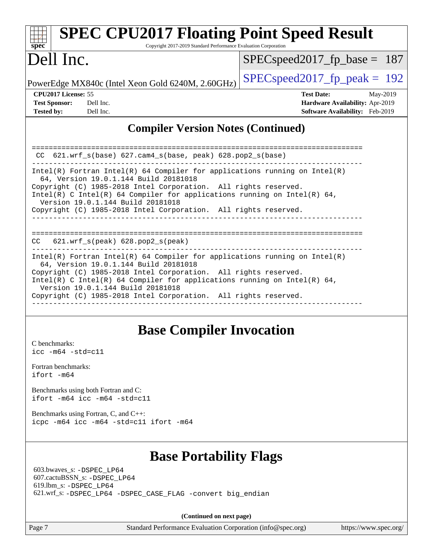| <b>SPEC CPU2017 Floating Point Speed Result</b><br>Copyright 2017-2019 Standard Performance Evaluation Corporation<br>spec <sup>®</sup>                                                                                                                                                                                                                                                                                                      |                                                                                                     |  |  |  |  |
|----------------------------------------------------------------------------------------------------------------------------------------------------------------------------------------------------------------------------------------------------------------------------------------------------------------------------------------------------------------------------------------------------------------------------------------------|-----------------------------------------------------------------------------------------------------|--|--|--|--|
| Dell Inc.                                                                                                                                                                                                                                                                                                                                                                                                                                    | $SPEC speed2017_fp\_base = 187$                                                                     |  |  |  |  |
| PowerEdge MX840c (Intel Xeon Gold 6240M, 2.60GHz)                                                                                                                                                                                                                                                                                                                                                                                            | $SPEC speed2017_fp\_peak = 192$                                                                     |  |  |  |  |
| CPU <sub>2017</sub> License: 55<br><b>Test Sponsor:</b><br>Dell Inc.<br><b>Tested by:</b><br>Dell Inc.                                                                                                                                                                                                                                                                                                                                       | <b>Test Date:</b><br>May-2019<br>Hardware Availability: Apr-2019<br>Software Availability: Feb-2019 |  |  |  |  |
| <b>Compiler Version Notes (Continued)</b>                                                                                                                                                                                                                                                                                                                                                                                                    |                                                                                                     |  |  |  |  |
| $CC$ 621.wrf_s(base) 627.cam4_s(base, peak) 628.pop2_s(base)<br>$Intel(R)$ Fortran Intel(R) 64 Compiler for applications running on Intel(R)<br>64, Version 19.0.1.144 Build 20181018<br>Copyright (C) 1985-2018 Intel Corporation. All rights reserved.<br>Intel(R) C Intel(R) 64 Compiler for applications running on Intel(R) 64,<br>Version 19.0.1.144 Build 20181018<br>Copyright (C) 1985-2018 Intel Corporation. All rights reserved. |                                                                                                     |  |  |  |  |
| $621.wrf$ s(peak) $628.pop2$ s(peak)<br>CC.                                                                                                                                                                                                                                                                                                                                                                                                  |                                                                                                     |  |  |  |  |
| $Intel(R)$ Fortran Intel(R) 64 Compiler for applications running on Intel(R)<br>64, Version 19.0.1.144 Build 20181018<br>Copyright (C) 1985-2018 Intel Corporation. All rights reserved.<br>Intel(R) C Intel(R) 64 Compiler for applications running on Intel(R) 64,<br>Version 19.0.1.144 Build 20181018<br>Copyright (C) 1985-2018 Intel Corporation. All rights reserved.                                                                 |                                                                                                     |  |  |  |  |

## **[Base Compiler Invocation](http://www.spec.org/auto/cpu2017/Docs/result-fields.html#BaseCompilerInvocation)**

------------------------------------------------------------------------------

[C benchmarks](http://www.spec.org/auto/cpu2017/Docs/result-fields.html#Cbenchmarks): [icc -m64 -std=c11](http://www.spec.org/cpu2017/results/res2019q3/cpu2017-20190624-15413.flags.html#user_CCbase_intel_icc_64bit_c11_33ee0cdaae7deeeab2a9725423ba97205ce30f63b9926c2519791662299b76a0318f32ddfffdc46587804de3178b4f9328c46fa7c2b0cd779d7a61945c91cd35)

[Fortran benchmarks](http://www.spec.org/auto/cpu2017/Docs/result-fields.html#Fortranbenchmarks): [ifort -m64](http://www.spec.org/cpu2017/results/res2019q3/cpu2017-20190624-15413.flags.html#user_FCbase_intel_ifort_64bit_24f2bb282fbaeffd6157abe4f878425411749daecae9a33200eee2bee2fe76f3b89351d69a8130dd5949958ce389cf37ff59a95e7a40d588e8d3a57e0c3fd751)

[Benchmarks using both Fortran and C](http://www.spec.org/auto/cpu2017/Docs/result-fields.html#BenchmarksusingbothFortranandC): [ifort -m64](http://www.spec.org/cpu2017/results/res2019q3/cpu2017-20190624-15413.flags.html#user_CC_FCbase_intel_ifort_64bit_24f2bb282fbaeffd6157abe4f878425411749daecae9a33200eee2bee2fe76f3b89351d69a8130dd5949958ce389cf37ff59a95e7a40d588e8d3a57e0c3fd751) [icc -m64 -std=c11](http://www.spec.org/cpu2017/results/res2019q3/cpu2017-20190624-15413.flags.html#user_CC_FCbase_intel_icc_64bit_c11_33ee0cdaae7deeeab2a9725423ba97205ce30f63b9926c2519791662299b76a0318f32ddfffdc46587804de3178b4f9328c46fa7c2b0cd779d7a61945c91cd35)

[Benchmarks using Fortran, C, and C++:](http://www.spec.org/auto/cpu2017/Docs/result-fields.html#BenchmarksusingFortranCandCXX) [icpc -m64](http://www.spec.org/cpu2017/results/res2019q3/cpu2017-20190624-15413.flags.html#user_CC_CXX_FCbase_intel_icpc_64bit_4ecb2543ae3f1412ef961e0650ca070fec7b7afdcd6ed48761b84423119d1bf6bdf5cad15b44d48e7256388bc77273b966e5eb805aefd121eb22e9299b2ec9d9) [icc -m64 -std=c11](http://www.spec.org/cpu2017/results/res2019q3/cpu2017-20190624-15413.flags.html#user_CC_CXX_FCbase_intel_icc_64bit_c11_33ee0cdaae7deeeab2a9725423ba97205ce30f63b9926c2519791662299b76a0318f32ddfffdc46587804de3178b4f9328c46fa7c2b0cd779d7a61945c91cd35) [ifort -m64](http://www.spec.org/cpu2017/results/res2019q3/cpu2017-20190624-15413.flags.html#user_CC_CXX_FCbase_intel_ifort_64bit_24f2bb282fbaeffd6157abe4f878425411749daecae9a33200eee2bee2fe76f3b89351d69a8130dd5949958ce389cf37ff59a95e7a40d588e8d3a57e0c3fd751)

## **[Base Portability Flags](http://www.spec.org/auto/cpu2017/Docs/result-fields.html#BasePortabilityFlags)**

 603.bwaves\_s: [-DSPEC\\_LP64](http://www.spec.org/cpu2017/results/res2019q3/cpu2017-20190624-15413.flags.html#suite_basePORTABILITY603_bwaves_s_DSPEC_LP64) 607.cactuBSSN\_s: [-DSPEC\\_LP64](http://www.spec.org/cpu2017/results/res2019q3/cpu2017-20190624-15413.flags.html#suite_basePORTABILITY607_cactuBSSN_s_DSPEC_LP64) 619.lbm\_s: [-DSPEC\\_LP64](http://www.spec.org/cpu2017/results/res2019q3/cpu2017-20190624-15413.flags.html#suite_basePORTABILITY619_lbm_s_DSPEC_LP64) 621.wrf\_s: [-DSPEC\\_LP64](http://www.spec.org/cpu2017/results/res2019q3/cpu2017-20190624-15413.flags.html#suite_basePORTABILITY621_wrf_s_DSPEC_LP64) [-DSPEC\\_CASE\\_FLAG](http://www.spec.org/cpu2017/results/res2019q3/cpu2017-20190624-15413.flags.html#b621.wrf_s_baseCPORTABILITY_DSPEC_CASE_FLAG) [-convert big\\_endian](http://www.spec.org/cpu2017/results/res2019q3/cpu2017-20190624-15413.flags.html#user_baseFPORTABILITY621_wrf_s_convert_big_endian_c3194028bc08c63ac5d04de18c48ce6d347e4e562e8892b8bdbdc0214820426deb8554edfa529a3fb25a586e65a3d812c835984020483e7e73212c4d31a38223)

**(Continued on next page)**

Page 7 Standard Performance Evaluation Corporation [\(info@spec.org\)](mailto:info@spec.org) <https://www.spec.org/>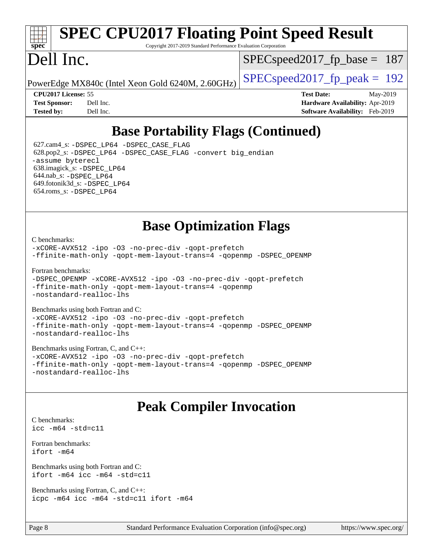# **[spec](http://www.spec.org/)**

## **[SPEC CPU2017 Floating Point Speed Result](http://www.spec.org/auto/cpu2017/Docs/result-fields.html#SPECCPU2017FloatingPointSpeedResult)**

Copyright 2017-2019 Standard Performance Evaluation Corporation

## Dell Inc.

SPECspeed2017 fp base =  $187$ 

PowerEdge MX840c (Intel Xeon Gold 6240M, 2.60GHz)  $\left|$  [SPECspeed2017\\_fp\\_peak =](http://www.spec.org/auto/cpu2017/Docs/result-fields.html#SPECspeed2017fppeak) 192

**[CPU2017 License:](http://www.spec.org/auto/cpu2017/Docs/result-fields.html#CPU2017License)** 55 **[Test Date:](http://www.spec.org/auto/cpu2017/Docs/result-fields.html#TestDate)** May-2019 **[Test Sponsor:](http://www.spec.org/auto/cpu2017/Docs/result-fields.html#TestSponsor)** Dell Inc. **[Hardware Availability:](http://www.spec.org/auto/cpu2017/Docs/result-fields.html#HardwareAvailability)** Apr-2019 **[Tested by:](http://www.spec.org/auto/cpu2017/Docs/result-fields.html#Testedby)** Dell Inc. **[Software Availability:](http://www.spec.org/auto/cpu2017/Docs/result-fields.html#SoftwareAvailability)** Feb-2019

## **[Base Portability Flags \(Continued\)](http://www.spec.org/auto/cpu2017/Docs/result-fields.html#BasePortabilityFlags)**

 627.cam4\_s: [-DSPEC\\_LP64](http://www.spec.org/cpu2017/results/res2019q3/cpu2017-20190624-15413.flags.html#suite_basePORTABILITY627_cam4_s_DSPEC_LP64) [-DSPEC\\_CASE\\_FLAG](http://www.spec.org/cpu2017/results/res2019q3/cpu2017-20190624-15413.flags.html#b627.cam4_s_baseCPORTABILITY_DSPEC_CASE_FLAG) 628.pop2\_s: [-DSPEC\\_LP64](http://www.spec.org/cpu2017/results/res2019q3/cpu2017-20190624-15413.flags.html#suite_basePORTABILITY628_pop2_s_DSPEC_LP64) [-DSPEC\\_CASE\\_FLAG](http://www.spec.org/cpu2017/results/res2019q3/cpu2017-20190624-15413.flags.html#b628.pop2_s_baseCPORTABILITY_DSPEC_CASE_FLAG) [-convert big\\_endian](http://www.spec.org/cpu2017/results/res2019q3/cpu2017-20190624-15413.flags.html#user_baseFPORTABILITY628_pop2_s_convert_big_endian_c3194028bc08c63ac5d04de18c48ce6d347e4e562e8892b8bdbdc0214820426deb8554edfa529a3fb25a586e65a3d812c835984020483e7e73212c4d31a38223) [-assume byterecl](http://www.spec.org/cpu2017/results/res2019q3/cpu2017-20190624-15413.flags.html#user_baseFPORTABILITY628_pop2_s_assume_byterecl_7e47d18b9513cf18525430bbf0f2177aa9bf368bc7a059c09b2c06a34b53bd3447c950d3f8d6c70e3faf3a05c8557d66a5798b567902e8849adc142926523472) 638.imagick\_s: [-DSPEC\\_LP64](http://www.spec.org/cpu2017/results/res2019q3/cpu2017-20190624-15413.flags.html#suite_basePORTABILITY638_imagick_s_DSPEC_LP64) 644.nab\_s: [-DSPEC\\_LP64](http://www.spec.org/cpu2017/results/res2019q3/cpu2017-20190624-15413.flags.html#suite_basePORTABILITY644_nab_s_DSPEC_LP64) 649.fotonik3d\_s: [-DSPEC\\_LP64](http://www.spec.org/cpu2017/results/res2019q3/cpu2017-20190624-15413.flags.html#suite_basePORTABILITY649_fotonik3d_s_DSPEC_LP64) 654.roms\_s: [-DSPEC\\_LP64](http://www.spec.org/cpu2017/results/res2019q3/cpu2017-20190624-15413.flags.html#suite_basePORTABILITY654_roms_s_DSPEC_LP64)

## **[Base Optimization Flags](http://www.spec.org/auto/cpu2017/Docs/result-fields.html#BaseOptimizationFlags)**

[C benchmarks](http://www.spec.org/auto/cpu2017/Docs/result-fields.html#Cbenchmarks):

[-xCORE-AVX512](http://www.spec.org/cpu2017/results/res2019q3/cpu2017-20190624-15413.flags.html#user_CCbase_f-xCORE-AVX512) [-ipo](http://www.spec.org/cpu2017/results/res2019q3/cpu2017-20190624-15413.flags.html#user_CCbase_f-ipo) [-O3](http://www.spec.org/cpu2017/results/res2019q3/cpu2017-20190624-15413.flags.html#user_CCbase_f-O3) [-no-prec-div](http://www.spec.org/cpu2017/results/res2019q3/cpu2017-20190624-15413.flags.html#user_CCbase_f-no-prec-div) [-qopt-prefetch](http://www.spec.org/cpu2017/results/res2019q3/cpu2017-20190624-15413.flags.html#user_CCbase_f-qopt-prefetch) [-ffinite-math-only](http://www.spec.org/cpu2017/results/res2019q3/cpu2017-20190624-15413.flags.html#user_CCbase_f_finite_math_only_cb91587bd2077682c4b38af759c288ed7c732db004271a9512da14a4f8007909a5f1427ecbf1a0fb78ff2a814402c6114ac565ca162485bbcae155b5e4258871) [-qopt-mem-layout-trans=4](http://www.spec.org/cpu2017/results/res2019q3/cpu2017-20190624-15413.flags.html#user_CCbase_f-qopt-mem-layout-trans_fa39e755916c150a61361b7846f310bcdf6f04e385ef281cadf3647acec3f0ae266d1a1d22d972a7087a248fd4e6ca390a3634700869573d231a252c784941a8) [-qopenmp](http://www.spec.org/cpu2017/results/res2019q3/cpu2017-20190624-15413.flags.html#user_CCbase_qopenmp_16be0c44f24f464004c6784a7acb94aca937f053568ce72f94b139a11c7c168634a55f6653758ddd83bcf7b8463e8028bb0b48b77bcddc6b78d5d95bb1df2967) [-DSPEC\\_OPENMP](http://www.spec.org/cpu2017/results/res2019q3/cpu2017-20190624-15413.flags.html#suite_CCbase_DSPEC_OPENMP)

[Fortran benchmarks](http://www.spec.org/auto/cpu2017/Docs/result-fields.html#Fortranbenchmarks):

[-DSPEC\\_OPENMP](http://www.spec.org/cpu2017/results/res2019q3/cpu2017-20190624-15413.flags.html#suite_FCbase_DSPEC_OPENMP) [-xCORE-AVX512](http://www.spec.org/cpu2017/results/res2019q3/cpu2017-20190624-15413.flags.html#user_FCbase_f-xCORE-AVX512) [-ipo](http://www.spec.org/cpu2017/results/res2019q3/cpu2017-20190624-15413.flags.html#user_FCbase_f-ipo) [-O3](http://www.spec.org/cpu2017/results/res2019q3/cpu2017-20190624-15413.flags.html#user_FCbase_f-O3) [-no-prec-div](http://www.spec.org/cpu2017/results/res2019q3/cpu2017-20190624-15413.flags.html#user_FCbase_f-no-prec-div) [-qopt-prefetch](http://www.spec.org/cpu2017/results/res2019q3/cpu2017-20190624-15413.flags.html#user_FCbase_f-qopt-prefetch) [-ffinite-math-only](http://www.spec.org/cpu2017/results/res2019q3/cpu2017-20190624-15413.flags.html#user_FCbase_f_finite_math_only_cb91587bd2077682c4b38af759c288ed7c732db004271a9512da14a4f8007909a5f1427ecbf1a0fb78ff2a814402c6114ac565ca162485bbcae155b5e4258871) [-qopt-mem-layout-trans=4](http://www.spec.org/cpu2017/results/res2019q3/cpu2017-20190624-15413.flags.html#user_FCbase_f-qopt-mem-layout-trans_fa39e755916c150a61361b7846f310bcdf6f04e385ef281cadf3647acec3f0ae266d1a1d22d972a7087a248fd4e6ca390a3634700869573d231a252c784941a8) [-qopenmp](http://www.spec.org/cpu2017/results/res2019q3/cpu2017-20190624-15413.flags.html#user_FCbase_qopenmp_16be0c44f24f464004c6784a7acb94aca937f053568ce72f94b139a11c7c168634a55f6653758ddd83bcf7b8463e8028bb0b48b77bcddc6b78d5d95bb1df2967) [-nostandard-realloc-lhs](http://www.spec.org/cpu2017/results/res2019q3/cpu2017-20190624-15413.flags.html#user_FCbase_f_2003_std_realloc_82b4557e90729c0f113870c07e44d33d6f5a304b4f63d4c15d2d0f1fab99f5daaed73bdb9275d9ae411527f28b936061aa8b9c8f2d63842963b95c9dd6426b8a)

[Benchmarks using both Fortran and C](http://www.spec.org/auto/cpu2017/Docs/result-fields.html#BenchmarksusingbothFortranandC): [-xCORE-AVX512](http://www.spec.org/cpu2017/results/res2019q3/cpu2017-20190624-15413.flags.html#user_CC_FCbase_f-xCORE-AVX512) [-ipo](http://www.spec.org/cpu2017/results/res2019q3/cpu2017-20190624-15413.flags.html#user_CC_FCbase_f-ipo) [-O3](http://www.spec.org/cpu2017/results/res2019q3/cpu2017-20190624-15413.flags.html#user_CC_FCbase_f-O3) [-no-prec-div](http://www.spec.org/cpu2017/results/res2019q3/cpu2017-20190624-15413.flags.html#user_CC_FCbase_f-no-prec-div) [-qopt-prefetch](http://www.spec.org/cpu2017/results/res2019q3/cpu2017-20190624-15413.flags.html#user_CC_FCbase_f-qopt-prefetch)

[-ffinite-math-only](http://www.spec.org/cpu2017/results/res2019q3/cpu2017-20190624-15413.flags.html#user_CC_FCbase_f_finite_math_only_cb91587bd2077682c4b38af759c288ed7c732db004271a9512da14a4f8007909a5f1427ecbf1a0fb78ff2a814402c6114ac565ca162485bbcae155b5e4258871) [-qopt-mem-layout-trans=4](http://www.spec.org/cpu2017/results/res2019q3/cpu2017-20190624-15413.flags.html#user_CC_FCbase_f-qopt-mem-layout-trans_fa39e755916c150a61361b7846f310bcdf6f04e385ef281cadf3647acec3f0ae266d1a1d22d972a7087a248fd4e6ca390a3634700869573d231a252c784941a8) [-qopenmp](http://www.spec.org/cpu2017/results/res2019q3/cpu2017-20190624-15413.flags.html#user_CC_FCbase_qopenmp_16be0c44f24f464004c6784a7acb94aca937f053568ce72f94b139a11c7c168634a55f6653758ddd83bcf7b8463e8028bb0b48b77bcddc6b78d5d95bb1df2967) [-DSPEC\\_OPENMP](http://www.spec.org/cpu2017/results/res2019q3/cpu2017-20190624-15413.flags.html#suite_CC_FCbase_DSPEC_OPENMP) [-nostandard-realloc-lhs](http://www.spec.org/cpu2017/results/res2019q3/cpu2017-20190624-15413.flags.html#user_CC_FCbase_f_2003_std_realloc_82b4557e90729c0f113870c07e44d33d6f5a304b4f63d4c15d2d0f1fab99f5daaed73bdb9275d9ae411527f28b936061aa8b9c8f2d63842963b95c9dd6426b8a)

[Benchmarks using Fortran, C, and C++:](http://www.spec.org/auto/cpu2017/Docs/result-fields.html#BenchmarksusingFortranCandCXX) [-xCORE-AVX512](http://www.spec.org/cpu2017/results/res2019q3/cpu2017-20190624-15413.flags.html#user_CC_CXX_FCbase_f-xCORE-AVX512) [-ipo](http://www.spec.org/cpu2017/results/res2019q3/cpu2017-20190624-15413.flags.html#user_CC_CXX_FCbase_f-ipo) [-O3](http://www.spec.org/cpu2017/results/res2019q3/cpu2017-20190624-15413.flags.html#user_CC_CXX_FCbase_f-O3) [-no-prec-div](http://www.spec.org/cpu2017/results/res2019q3/cpu2017-20190624-15413.flags.html#user_CC_CXX_FCbase_f-no-prec-div) [-qopt-prefetch](http://www.spec.org/cpu2017/results/res2019q3/cpu2017-20190624-15413.flags.html#user_CC_CXX_FCbase_f-qopt-prefetch) [-ffinite-math-only](http://www.spec.org/cpu2017/results/res2019q3/cpu2017-20190624-15413.flags.html#user_CC_CXX_FCbase_f_finite_math_only_cb91587bd2077682c4b38af759c288ed7c732db004271a9512da14a4f8007909a5f1427ecbf1a0fb78ff2a814402c6114ac565ca162485bbcae155b5e4258871) [-qopt-mem-layout-trans=4](http://www.spec.org/cpu2017/results/res2019q3/cpu2017-20190624-15413.flags.html#user_CC_CXX_FCbase_f-qopt-mem-layout-trans_fa39e755916c150a61361b7846f310bcdf6f04e385ef281cadf3647acec3f0ae266d1a1d22d972a7087a248fd4e6ca390a3634700869573d231a252c784941a8) [-qopenmp](http://www.spec.org/cpu2017/results/res2019q3/cpu2017-20190624-15413.flags.html#user_CC_CXX_FCbase_qopenmp_16be0c44f24f464004c6784a7acb94aca937f053568ce72f94b139a11c7c168634a55f6653758ddd83bcf7b8463e8028bb0b48b77bcddc6b78d5d95bb1df2967) [-DSPEC\\_OPENMP](http://www.spec.org/cpu2017/results/res2019q3/cpu2017-20190624-15413.flags.html#suite_CC_CXX_FCbase_DSPEC_OPENMP) [-nostandard-realloc-lhs](http://www.spec.org/cpu2017/results/res2019q3/cpu2017-20190624-15413.flags.html#user_CC_CXX_FCbase_f_2003_std_realloc_82b4557e90729c0f113870c07e44d33d6f5a304b4f63d4c15d2d0f1fab99f5daaed73bdb9275d9ae411527f28b936061aa8b9c8f2d63842963b95c9dd6426b8a)

## **[Peak Compiler Invocation](http://www.spec.org/auto/cpu2017/Docs/result-fields.html#PeakCompilerInvocation)**

[C benchmarks](http://www.spec.org/auto/cpu2017/Docs/result-fields.html#Cbenchmarks): [icc -m64 -std=c11](http://www.spec.org/cpu2017/results/res2019q3/cpu2017-20190624-15413.flags.html#user_CCpeak_intel_icc_64bit_c11_33ee0cdaae7deeeab2a9725423ba97205ce30f63b9926c2519791662299b76a0318f32ddfffdc46587804de3178b4f9328c46fa7c2b0cd779d7a61945c91cd35)

[Fortran benchmarks](http://www.spec.org/auto/cpu2017/Docs/result-fields.html#Fortranbenchmarks): [ifort -m64](http://www.spec.org/cpu2017/results/res2019q3/cpu2017-20190624-15413.flags.html#user_FCpeak_intel_ifort_64bit_24f2bb282fbaeffd6157abe4f878425411749daecae9a33200eee2bee2fe76f3b89351d69a8130dd5949958ce389cf37ff59a95e7a40d588e8d3a57e0c3fd751)

[Benchmarks using both Fortran and C](http://www.spec.org/auto/cpu2017/Docs/result-fields.html#BenchmarksusingbothFortranandC): [ifort -m64](http://www.spec.org/cpu2017/results/res2019q3/cpu2017-20190624-15413.flags.html#user_CC_FCpeak_intel_ifort_64bit_24f2bb282fbaeffd6157abe4f878425411749daecae9a33200eee2bee2fe76f3b89351d69a8130dd5949958ce389cf37ff59a95e7a40d588e8d3a57e0c3fd751) [icc -m64 -std=c11](http://www.spec.org/cpu2017/results/res2019q3/cpu2017-20190624-15413.flags.html#user_CC_FCpeak_intel_icc_64bit_c11_33ee0cdaae7deeeab2a9725423ba97205ce30f63b9926c2519791662299b76a0318f32ddfffdc46587804de3178b4f9328c46fa7c2b0cd779d7a61945c91cd35)

[Benchmarks using Fortran, C, and C++:](http://www.spec.org/auto/cpu2017/Docs/result-fields.html#BenchmarksusingFortranCandCXX) [icpc -m64](http://www.spec.org/cpu2017/results/res2019q3/cpu2017-20190624-15413.flags.html#user_CC_CXX_FCpeak_intel_icpc_64bit_4ecb2543ae3f1412ef961e0650ca070fec7b7afdcd6ed48761b84423119d1bf6bdf5cad15b44d48e7256388bc77273b966e5eb805aefd121eb22e9299b2ec9d9) [icc -m64 -std=c11](http://www.spec.org/cpu2017/results/res2019q3/cpu2017-20190624-15413.flags.html#user_CC_CXX_FCpeak_intel_icc_64bit_c11_33ee0cdaae7deeeab2a9725423ba97205ce30f63b9926c2519791662299b76a0318f32ddfffdc46587804de3178b4f9328c46fa7c2b0cd779d7a61945c91cd35) [ifort -m64](http://www.spec.org/cpu2017/results/res2019q3/cpu2017-20190624-15413.flags.html#user_CC_CXX_FCpeak_intel_ifort_64bit_24f2bb282fbaeffd6157abe4f878425411749daecae9a33200eee2bee2fe76f3b89351d69a8130dd5949958ce389cf37ff59a95e7a40d588e8d3a57e0c3fd751)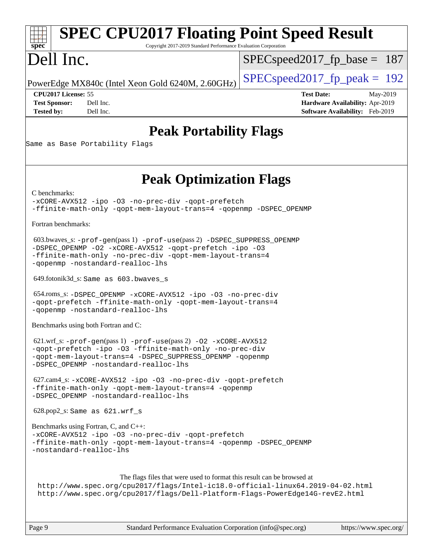#### Page 9 Standard Performance Evaluation Corporation [\(info@spec.org\)](mailto:info@spec.org) <https://www.spec.org/> **[spec](http://www.spec.org/) [SPEC CPU2017 Floating Point Speed Result](http://www.spec.org/auto/cpu2017/Docs/result-fields.html#SPECCPU2017FloatingPointSpeedResult)** Copyright 2017-2019 Standard Performance Evaluation Corporation Dell Inc. PowerEdge MX840c (Intel Xeon Gold 6240M, 2.60GHz)  $\left|$  [SPECspeed2017\\_fp\\_peak =](http://www.spec.org/auto/cpu2017/Docs/result-fields.html#SPECspeed2017fppeak) 192 SPECspeed2017 fp base =  $187$ **[CPU2017 License:](http://www.spec.org/auto/cpu2017/Docs/result-fields.html#CPU2017License)** 55 **[Test Date:](http://www.spec.org/auto/cpu2017/Docs/result-fields.html#TestDate)** May-2019 **[Test Sponsor:](http://www.spec.org/auto/cpu2017/Docs/result-fields.html#TestSponsor)** Dell Inc. **[Hardware Availability:](http://www.spec.org/auto/cpu2017/Docs/result-fields.html#HardwareAvailability)** Apr-2019 **[Tested by:](http://www.spec.org/auto/cpu2017/Docs/result-fields.html#Testedby)** Dell Inc. **[Software Availability:](http://www.spec.org/auto/cpu2017/Docs/result-fields.html#SoftwareAvailability)** Feb-2019 **[Peak Portability Flags](http://www.spec.org/auto/cpu2017/Docs/result-fields.html#PeakPortabilityFlags)** Same as Base Portability Flags **[Peak Optimization Flags](http://www.spec.org/auto/cpu2017/Docs/result-fields.html#PeakOptimizationFlags)** [C benchmarks](http://www.spec.org/auto/cpu2017/Docs/result-fields.html#Cbenchmarks): [-xCORE-AVX512](http://www.spec.org/cpu2017/results/res2019q3/cpu2017-20190624-15413.flags.html#user_CCpeak_f-xCORE-AVX512) [-ipo](http://www.spec.org/cpu2017/results/res2019q3/cpu2017-20190624-15413.flags.html#user_CCpeak_f-ipo) [-O3](http://www.spec.org/cpu2017/results/res2019q3/cpu2017-20190624-15413.flags.html#user_CCpeak_f-O3) [-no-prec-div](http://www.spec.org/cpu2017/results/res2019q3/cpu2017-20190624-15413.flags.html#user_CCpeak_f-no-prec-div) [-qopt-prefetch](http://www.spec.org/cpu2017/results/res2019q3/cpu2017-20190624-15413.flags.html#user_CCpeak_f-qopt-prefetch) [-ffinite-math-only](http://www.spec.org/cpu2017/results/res2019q3/cpu2017-20190624-15413.flags.html#user_CCpeak_f_finite_math_only_cb91587bd2077682c4b38af759c288ed7c732db004271a9512da14a4f8007909a5f1427ecbf1a0fb78ff2a814402c6114ac565ca162485bbcae155b5e4258871) [-qopt-mem-layout-trans=4](http://www.spec.org/cpu2017/results/res2019q3/cpu2017-20190624-15413.flags.html#user_CCpeak_f-qopt-mem-layout-trans_fa39e755916c150a61361b7846f310bcdf6f04e385ef281cadf3647acec3f0ae266d1a1d22d972a7087a248fd4e6ca390a3634700869573d231a252c784941a8) [-qopenmp](http://www.spec.org/cpu2017/results/res2019q3/cpu2017-20190624-15413.flags.html#user_CCpeak_qopenmp_16be0c44f24f464004c6784a7acb94aca937f053568ce72f94b139a11c7c168634a55f6653758ddd83bcf7b8463e8028bb0b48b77bcddc6b78d5d95bb1df2967) [-DSPEC\\_OPENMP](http://www.spec.org/cpu2017/results/res2019q3/cpu2017-20190624-15413.flags.html#suite_CCpeak_DSPEC_OPENMP) [Fortran benchmarks](http://www.spec.org/auto/cpu2017/Docs/result-fields.html#Fortranbenchmarks): 603.bwaves\_s: [-prof-gen](http://www.spec.org/cpu2017/results/res2019q3/cpu2017-20190624-15413.flags.html#user_peakPASS1_FFLAGSPASS1_LDFLAGS603_bwaves_s_prof_gen_5aa4926d6013ddb2a31985c654b3eb18169fc0c6952a63635c234f711e6e63dd76e94ad52365559451ec499a2cdb89e4dc58ba4c67ef54ca681ffbe1461d6b36)(pass 1) [-prof-use](http://www.spec.org/cpu2017/results/res2019q3/cpu2017-20190624-15413.flags.html#user_peakPASS2_FFLAGSPASS2_LDFLAGS603_bwaves_s_prof_use_1a21ceae95f36a2b53c25747139a6c16ca95bd9def2a207b4f0849963b97e94f5260e30a0c64f4bb623698870e679ca08317ef8150905d41bd88c6f78df73f19)(pass 2) [-DSPEC\\_SUPPRESS\\_OPENMP](http://www.spec.org/cpu2017/results/res2019q3/cpu2017-20190624-15413.flags.html#suite_peakPASS1_FOPTIMIZE603_bwaves_s_DSPEC_SUPPRESS_OPENMP) [-DSPEC\\_OPENMP](http://www.spec.org/cpu2017/results/res2019q3/cpu2017-20190624-15413.flags.html#suite_peakPASS2_FOPTIMIZE603_bwaves_s_DSPEC_OPENMP) [-O2](http://www.spec.org/cpu2017/results/res2019q3/cpu2017-20190624-15413.flags.html#user_peakPASS1_FOPTIMIZE603_bwaves_s_f-O2) [-xCORE-AVX512](http://www.spec.org/cpu2017/results/res2019q3/cpu2017-20190624-15413.flags.html#user_peakPASS2_FOPTIMIZE603_bwaves_s_f-xCORE-AVX512) [-qopt-prefetch](http://www.spec.org/cpu2017/results/res2019q3/cpu2017-20190624-15413.flags.html#user_peakPASS1_FOPTIMIZEPASS2_FOPTIMIZE603_bwaves_s_f-qopt-prefetch) [-ipo](http://www.spec.org/cpu2017/results/res2019q3/cpu2017-20190624-15413.flags.html#user_peakPASS2_FOPTIMIZE603_bwaves_s_f-ipo) [-O3](http://www.spec.org/cpu2017/results/res2019q3/cpu2017-20190624-15413.flags.html#user_peakPASS2_FOPTIMIZE603_bwaves_s_f-O3) [-ffinite-math-only](http://www.spec.org/cpu2017/results/res2019q3/cpu2017-20190624-15413.flags.html#user_peakPASS1_FOPTIMIZEPASS2_FOPTIMIZE603_bwaves_s_f_finite_math_only_cb91587bd2077682c4b38af759c288ed7c732db004271a9512da14a4f8007909a5f1427ecbf1a0fb78ff2a814402c6114ac565ca162485bbcae155b5e4258871) [-no-prec-div](http://www.spec.org/cpu2017/results/res2019q3/cpu2017-20190624-15413.flags.html#user_peakPASS2_FOPTIMIZE603_bwaves_s_f-no-prec-div) [-qopt-mem-layout-trans=4](http://www.spec.org/cpu2017/results/res2019q3/cpu2017-20190624-15413.flags.html#user_peakPASS1_FOPTIMIZEPASS2_FOPTIMIZE603_bwaves_s_f-qopt-mem-layout-trans_fa39e755916c150a61361b7846f310bcdf6f04e385ef281cadf3647acec3f0ae266d1a1d22d972a7087a248fd4e6ca390a3634700869573d231a252c784941a8) [-qopenmp](http://www.spec.org/cpu2017/results/res2019q3/cpu2017-20190624-15413.flags.html#user_peakPASS2_FOPTIMIZE603_bwaves_s_qopenmp_16be0c44f24f464004c6784a7acb94aca937f053568ce72f94b139a11c7c168634a55f6653758ddd83bcf7b8463e8028bb0b48b77bcddc6b78d5d95bb1df2967) [-nostandard-realloc-lhs](http://www.spec.org/cpu2017/results/res2019q3/cpu2017-20190624-15413.flags.html#user_peakEXTRA_FOPTIMIZE603_bwaves_s_f_2003_std_realloc_82b4557e90729c0f113870c07e44d33d6f5a304b4f63d4c15d2d0f1fab99f5daaed73bdb9275d9ae411527f28b936061aa8b9c8f2d63842963b95c9dd6426b8a) 649.fotonik3d\_s: Same as 603.bwaves\_s 654.roms\_s: [-DSPEC\\_OPENMP](http://www.spec.org/cpu2017/results/res2019q3/cpu2017-20190624-15413.flags.html#suite_peakFOPTIMIZE654_roms_s_DSPEC_OPENMP) [-xCORE-AVX512](http://www.spec.org/cpu2017/results/res2019q3/cpu2017-20190624-15413.flags.html#user_peakFOPTIMIZE654_roms_s_f-xCORE-AVX512) [-ipo](http://www.spec.org/cpu2017/results/res2019q3/cpu2017-20190624-15413.flags.html#user_peakFOPTIMIZE654_roms_s_f-ipo) [-O3](http://www.spec.org/cpu2017/results/res2019q3/cpu2017-20190624-15413.flags.html#user_peakFOPTIMIZE654_roms_s_f-O3) [-no-prec-div](http://www.spec.org/cpu2017/results/res2019q3/cpu2017-20190624-15413.flags.html#user_peakFOPTIMIZE654_roms_s_f-no-prec-div) [-qopt-prefetch](http://www.spec.org/cpu2017/results/res2019q3/cpu2017-20190624-15413.flags.html#user_peakFOPTIMIZE654_roms_s_f-qopt-prefetch) [-ffinite-math-only](http://www.spec.org/cpu2017/results/res2019q3/cpu2017-20190624-15413.flags.html#user_peakFOPTIMIZE654_roms_s_f_finite_math_only_cb91587bd2077682c4b38af759c288ed7c732db004271a9512da14a4f8007909a5f1427ecbf1a0fb78ff2a814402c6114ac565ca162485bbcae155b5e4258871) [-qopt-mem-layout-trans=4](http://www.spec.org/cpu2017/results/res2019q3/cpu2017-20190624-15413.flags.html#user_peakFOPTIMIZE654_roms_s_f-qopt-mem-layout-trans_fa39e755916c150a61361b7846f310bcdf6f04e385ef281cadf3647acec3f0ae266d1a1d22d972a7087a248fd4e6ca390a3634700869573d231a252c784941a8) [-qopenmp](http://www.spec.org/cpu2017/results/res2019q3/cpu2017-20190624-15413.flags.html#user_peakFOPTIMIZE654_roms_s_qopenmp_16be0c44f24f464004c6784a7acb94aca937f053568ce72f94b139a11c7c168634a55f6653758ddd83bcf7b8463e8028bb0b48b77bcddc6b78d5d95bb1df2967) [-nostandard-realloc-lhs](http://www.spec.org/cpu2017/results/res2019q3/cpu2017-20190624-15413.flags.html#user_peakEXTRA_FOPTIMIZE654_roms_s_f_2003_std_realloc_82b4557e90729c0f113870c07e44d33d6f5a304b4f63d4c15d2d0f1fab99f5daaed73bdb9275d9ae411527f28b936061aa8b9c8f2d63842963b95c9dd6426b8a) [Benchmarks using both Fortran and C](http://www.spec.org/auto/cpu2017/Docs/result-fields.html#BenchmarksusingbothFortranandC): 621.wrf\_s: [-prof-gen](http://www.spec.org/cpu2017/results/res2019q3/cpu2017-20190624-15413.flags.html#user_peakPASS1_CFLAGSPASS1_FFLAGSPASS1_LDFLAGS621_wrf_s_prof_gen_5aa4926d6013ddb2a31985c654b3eb18169fc0c6952a63635c234f711e6e63dd76e94ad52365559451ec499a2cdb89e4dc58ba4c67ef54ca681ffbe1461d6b36)(pass 1) [-prof-use](http://www.spec.org/cpu2017/results/res2019q3/cpu2017-20190624-15413.flags.html#user_peakPASS2_CFLAGSPASS2_FFLAGSPASS2_LDFLAGS621_wrf_s_prof_use_1a21ceae95f36a2b53c25747139a6c16ca95bd9def2a207b4f0849963b97e94f5260e30a0c64f4bb623698870e679ca08317ef8150905d41bd88c6f78df73f19)(pass 2) [-O2](http://www.spec.org/cpu2017/results/res2019q3/cpu2017-20190624-15413.flags.html#user_peakPASS1_COPTIMIZEPASS1_FOPTIMIZE621_wrf_s_f-O2) [-xCORE-AVX512](http://www.spec.org/cpu2017/results/res2019q3/cpu2017-20190624-15413.flags.html#user_peakPASS2_COPTIMIZEPASS2_FOPTIMIZE621_wrf_s_f-xCORE-AVX512) [-qopt-prefetch](http://www.spec.org/cpu2017/results/res2019q3/cpu2017-20190624-15413.flags.html#user_peakPASS1_COPTIMIZEPASS1_FOPTIMIZEPASS2_COPTIMIZEPASS2_FOPTIMIZE621_wrf_s_f-qopt-prefetch) [-ipo](http://www.spec.org/cpu2017/results/res2019q3/cpu2017-20190624-15413.flags.html#user_peakPASS2_COPTIMIZEPASS2_FOPTIMIZE621_wrf_s_f-ipo) [-O3](http://www.spec.org/cpu2017/results/res2019q3/cpu2017-20190624-15413.flags.html#user_peakPASS2_COPTIMIZEPASS2_FOPTIMIZE621_wrf_s_f-O3) [-ffinite-math-only](http://www.spec.org/cpu2017/results/res2019q3/cpu2017-20190624-15413.flags.html#user_peakPASS1_COPTIMIZEPASS1_FOPTIMIZEPASS2_COPTIMIZEPASS2_FOPTIMIZE621_wrf_s_f_finite_math_only_cb91587bd2077682c4b38af759c288ed7c732db004271a9512da14a4f8007909a5f1427ecbf1a0fb78ff2a814402c6114ac565ca162485bbcae155b5e4258871) [-no-prec-div](http://www.spec.org/cpu2017/results/res2019q3/cpu2017-20190624-15413.flags.html#user_peakPASS2_COPTIMIZEPASS2_FOPTIMIZE621_wrf_s_f-no-prec-div) [-qopt-mem-layout-trans=4](http://www.spec.org/cpu2017/results/res2019q3/cpu2017-20190624-15413.flags.html#user_peakPASS1_COPTIMIZEPASS1_FOPTIMIZEPASS2_COPTIMIZEPASS2_FOPTIMIZE621_wrf_s_f-qopt-mem-layout-trans_fa39e755916c150a61361b7846f310bcdf6f04e385ef281cadf3647acec3f0ae266d1a1d22d972a7087a248fd4e6ca390a3634700869573d231a252c784941a8) [-DSPEC\\_SUPPRESS\\_OPENMP](http://www.spec.org/cpu2017/results/res2019q3/cpu2017-20190624-15413.flags.html#suite_peakPASS1_COPTIMIZEPASS1_FOPTIMIZE621_wrf_s_DSPEC_SUPPRESS_OPENMP) [-qopenmp](http://www.spec.org/cpu2017/results/res2019q3/cpu2017-20190624-15413.flags.html#user_peakPASS2_COPTIMIZEPASS2_FOPTIMIZE621_wrf_s_qopenmp_16be0c44f24f464004c6784a7acb94aca937f053568ce72f94b139a11c7c168634a55f6653758ddd83bcf7b8463e8028bb0b48b77bcddc6b78d5d95bb1df2967) [-DSPEC\\_OPENMP](http://www.spec.org/cpu2017/results/res2019q3/cpu2017-20190624-15413.flags.html#suite_peakPASS2_COPTIMIZEPASS2_FOPTIMIZE621_wrf_s_DSPEC_OPENMP) [-nostandard-realloc-lhs](http://www.spec.org/cpu2017/results/res2019q3/cpu2017-20190624-15413.flags.html#user_peakEXTRA_FOPTIMIZE621_wrf_s_f_2003_std_realloc_82b4557e90729c0f113870c07e44d33d6f5a304b4f63d4c15d2d0f1fab99f5daaed73bdb9275d9ae411527f28b936061aa8b9c8f2d63842963b95c9dd6426b8a) 627.cam4\_s: [-xCORE-AVX512](http://www.spec.org/cpu2017/results/res2019q3/cpu2017-20190624-15413.flags.html#user_peakCOPTIMIZEFOPTIMIZE627_cam4_s_f-xCORE-AVX512) [-ipo](http://www.spec.org/cpu2017/results/res2019q3/cpu2017-20190624-15413.flags.html#user_peakCOPTIMIZEFOPTIMIZE627_cam4_s_f-ipo) [-O3](http://www.spec.org/cpu2017/results/res2019q3/cpu2017-20190624-15413.flags.html#user_peakCOPTIMIZEFOPTIMIZE627_cam4_s_f-O3) [-no-prec-div](http://www.spec.org/cpu2017/results/res2019q3/cpu2017-20190624-15413.flags.html#user_peakCOPTIMIZEFOPTIMIZE627_cam4_s_f-no-prec-div) [-qopt-prefetch](http://www.spec.org/cpu2017/results/res2019q3/cpu2017-20190624-15413.flags.html#user_peakCOPTIMIZEFOPTIMIZE627_cam4_s_f-qopt-prefetch) [-ffinite-math-only](http://www.spec.org/cpu2017/results/res2019q3/cpu2017-20190624-15413.flags.html#user_peakCOPTIMIZEFOPTIMIZE627_cam4_s_f_finite_math_only_cb91587bd2077682c4b38af759c288ed7c732db004271a9512da14a4f8007909a5f1427ecbf1a0fb78ff2a814402c6114ac565ca162485bbcae155b5e4258871) [-qopt-mem-layout-trans=4](http://www.spec.org/cpu2017/results/res2019q3/cpu2017-20190624-15413.flags.html#user_peakCOPTIMIZEFOPTIMIZE627_cam4_s_f-qopt-mem-layout-trans_fa39e755916c150a61361b7846f310bcdf6f04e385ef281cadf3647acec3f0ae266d1a1d22d972a7087a248fd4e6ca390a3634700869573d231a252c784941a8) [-qopenmp](http://www.spec.org/cpu2017/results/res2019q3/cpu2017-20190624-15413.flags.html#user_peakCOPTIMIZEFOPTIMIZE627_cam4_s_qopenmp_16be0c44f24f464004c6784a7acb94aca937f053568ce72f94b139a11c7c168634a55f6653758ddd83bcf7b8463e8028bb0b48b77bcddc6b78d5d95bb1df2967) [-DSPEC\\_OPENMP](http://www.spec.org/cpu2017/results/res2019q3/cpu2017-20190624-15413.flags.html#suite_peakCOPTIMIZEFOPTIMIZE627_cam4_s_DSPEC_OPENMP) [-nostandard-realloc-lhs](http://www.spec.org/cpu2017/results/res2019q3/cpu2017-20190624-15413.flags.html#user_peakEXTRA_FOPTIMIZE627_cam4_s_f_2003_std_realloc_82b4557e90729c0f113870c07e44d33d6f5a304b4f63d4c15d2d0f1fab99f5daaed73bdb9275d9ae411527f28b936061aa8b9c8f2d63842963b95c9dd6426b8a) 628.pop2\_s: Same as 621.wrf\_s [Benchmarks using Fortran, C, and C++:](http://www.spec.org/auto/cpu2017/Docs/result-fields.html#BenchmarksusingFortranCandCXX) [-xCORE-AVX512](http://www.spec.org/cpu2017/results/res2019q3/cpu2017-20190624-15413.flags.html#user_CC_CXX_FCpeak_f-xCORE-AVX512) [-ipo](http://www.spec.org/cpu2017/results/res2019q3/cpu2017-20190624-15413.flags.html#user_CC_CXX_FCpeak_f-ipo) [-O3](http://www.spec.org/cpu2017/results/res2019q3/cpu2017-20190624-15413.flags.html#user_CC_CXX_FCpeak_f-O3) [-no-prec-div](http://www.spec.org/cpu2017/results/res2019q3/cpu2017-20190624-15413.flags.html#user_CC_CXX_FCpeak_f-no-prec-div) [-qopt-prefetch](http://www.spec.org/cpu2017/results/res2019q3/cpu2017-20190624-15413.flags.html#user_CC_CXX_FCpeak_f-qopt-prefetch) [-ffinite-math-only](http://www.spec.org/cpu2017/results/res2019q3/cpu2017-20190624-15413.flags.html#user_CC_CXX_FCpeak_f_finite_math_only_cb91587bd2077682c4b38af759c288ed7c732db004271a9512da14a4f8007909a5f1427ecbf1a0fb78ff2a814402c6114ac565ca162485bbcae155b5e4258871) [-qopt-mem-layout-trans=4](http://www.spec.org/cpu2017/results/res2019q3/cpu2017-20190624-15413.flags.html#user_CC_CXX_FCpeak_f-qopt-mem-layout-trans_fa39e755916c150a61361b7846f310bcdf6f04e385ef281cadf3647acec3f0ae266d1a1d22d972a7087a248fd4e6ca390a3634700869573d231a252c784941a8) [-qopenmp](http://www.spec.org/cpu2017/results/res2019q3/cpu2017-20190624-15413.flags.html#user_CC_CXX_FCpeak_qopenmp_16be0c44f24f464004c6784a7acb94aca937f053568ce72f94b139a11c7c168634a55f6653758ddd83bcf7b8463e8028bb0b48b77bcddc6b78d5d95bb1df2967) [-DSPEC\\_OPENMP](http://www.spec.org/cpu2017/results/res2019q3/cpu2017-20190624-15413.flags.html#suite_CC_CXX_FCpeak_DSPEC_OPENMP) [-nostandard-realloc-lhs](http://www.spec.org/cpu2017/results/res2019q3/cpu2017-20190624-15413.flags.html#user_CC_CXX_FCpeak_f_2003_std_realloc_82b4557e90729c0f113870c07e44d33d6f5a304b4f63d4c15d2d0f1fab99f5daaed73bdb9275d9ae411527f28b936061aa8b9c8f2d63842963b95c9dd6426b8a) The flags files that were used to format this result can be browsed at <http://www.spec.org/cpu2017/flags/Intel-ic18.0-official-linux64.2019-04-02.html> <http://www.spec.org/cpu2017/flags/Dell-Platform-Flags-PowerEdge14G-revE2.html>